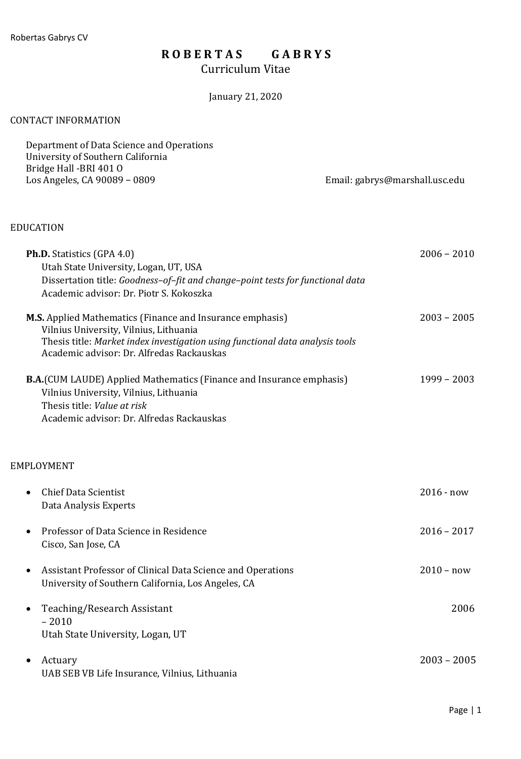# **R O B E R T A S G A B R Y S**  Curriculum Vitae

January 21, 2020

## CONTACT INFORMATION

| Department of Data Science and Operations<br>University of Southern California<br>Bridge Hall -BRI 401 O                                                                                                                                 |                                |
|------------------------------------------------------------------------------------------------------------------------------------------------------------------------------------------------------------------------------------------|--------------------------------|
| Los Angeles, CA 90089 - 0809                                                                                                                                                                                                             | Email: gabrys@marshall.usc.edu |
| <b>EDUCATION</b>                                                                                                                                                                                                                         |                                |
| <b>Ph.D.</b> Statistics (GPA 4.0)<br>Utah State University, Logan, UT, USA<br>Dissertation title: Goodness-of-fit and change-point tests for functional data<br>Academic advisor: Dr. Piotr S. Kokoszka                                  | $2006 - 2010$                  |
| <b>M.S.</b> Applied Mathematics (Finance and Insurance emphasis)<br>Vilnius University, Vilnius, Lithuania<br>Thesis title: Market index investigation using functional data analysis tools<br>Academic advisor: Dr. Alfredas Rackauskas | $2003 - 2005$                  |
| <b>B.A.</b> (CUM LAUDE) Applied Mathematics (Finance and Insurance emphasis)<br>Vilnius University, Vilnius, Lithuania<br>Thesis title: Value at risk<br>Academic advisor: Dr. Alfredas Rackauskas                                       | $1999 - 2003$                  |
| <b>EMPLOYMENT</b>                                                                                                                                                                                                                        |                                |
| <b>Chief Data Scientist</b><br>$\bullet$<br>Data Analysis Experts                                                                                                                                                                        | $2016 - now$                   |
| Professor of Data Science in Residence<br>Cisco, San Jose, CA                                                                                                                                                                            | $2016 - 2017$                  |
| Assistant Professor of Clinical Data Science and Operations<br>University of Southern California, Los Angeles, CA                                                                                                                        | $2010 - now$                   |
| Teaching/Research Assistant<br>$-2010$<br>Utah State University, Logan, UT                                                                                                                                                               | 2006                           |
| Actuary<br>UAB SEB VB Life Insurance, Vilnius, Lithuania                                                                                                                                                                                 | $2003 - 2005$                  |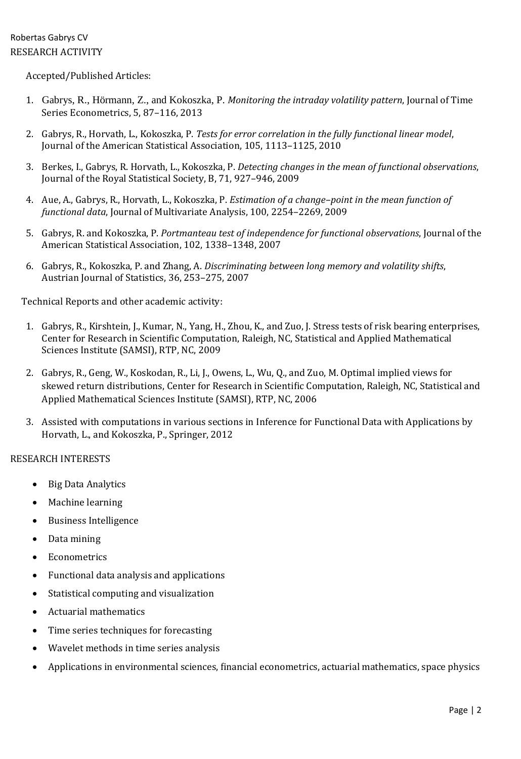## Accepted/Published Articles:

- 1. Gabrys, R., Hörmann, Z., and Kokoszka, P. *Monitoring the intraday volatility pattern*, Journal of Time Series Econometrics, 5, 87–116, 2013
- 2. Gabrys, R., Horvath, L., Kokoszka, P. *Tests for error correlation in the fully functional linear model*, Journal of the American Statistical Association, 105, 1113–1125, 2010
- 3. Berkes, I., Gabrys, R. Horvath, L., Kokoszka, P. *Detecting changes in the mean of functional observations*, Journal of the Royal Statistical Society, B, 71, 927–946, 2009
- 4. Aue, A., Gabrys, R., Horvath, L., Kokoszka, P. *Estimation of a change–point in the mean function of functional data*, Journal of Multivariate Analysis, 100, 2254–2269, 2009
- 5. Gabrys, R. and Kokoszka, P. *Portmanteau test of independence for functional observations*, Journal of the American Statistical Association, 102, 1338–1348, 2007
- 6. Gabrys, R., Kokoszka, P. and Zhang, A. *Discriminating between long memory and volatility shifts*, Austrian Journal of Statistics, 36, 253–275, 2007

Technical Reports and other academic activity:

- 1. Gabrys, R., Kirshtein, J., Kumar, N., Yang, H., Zhou, K., and Zuo, J. Stress tests of risk bearing enterprises, Center for Research in Scientific Computation, Raleigh, NC, Statistical and Applied Mathematical Sciences Institute (SAMSI), RTP, NC, 2009
- 2. Gabrys, R., Geng, W., Koskodan, R., Li, J., Owens, L., Wu, Q., and Zuo, M. Optimal implied views for skewed return distributions, Center for Research in Scientific Computation, Raleigh, NC, Statistical and Applied Mathematical Sciences Institute (SAMSI), RTP, NC, 2006
- 3. Assisted with computations in various sections in Inference for Functional Data with Applications by Horvath, L., and Kokoszka, P., Springer, 2012

## RESEARCH INTERESTS

- Big Data Analytics
- Machine learning
- Business Intelligence
- Data mining
- Econometrics
- Functional data analysis and applications
- Statistical computing and visualization
- Actuarial mathematics
- Time series techniques for forecasting
- Wavelet methods in time series analysis
- Applications in environmental sciences, financial econometrics, actuarial mathematics, space physics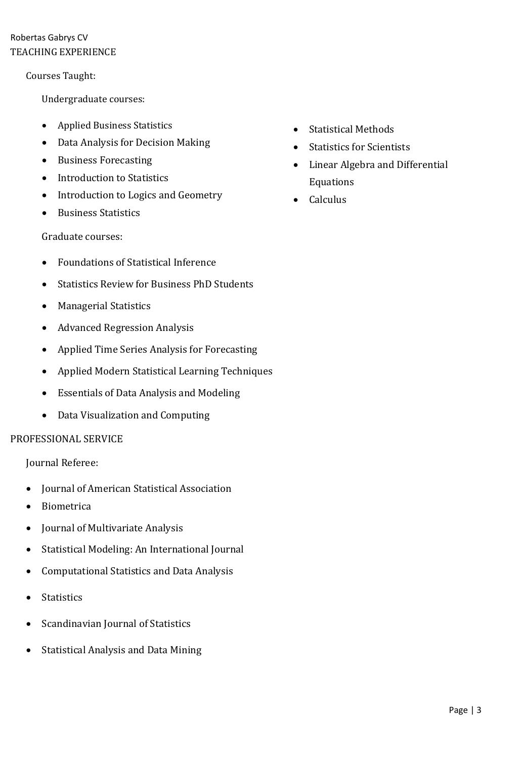## Robertas Gabrys CV TEACHING EXPERIENCE

## Courses Taught:

Undergraduate courses:

- Applied Business Statistics
- Data Analysis for Decision Making
- Business Forecasting
- Introduction to Statistics
- Introduction to Logics and Geometry
- Business Statistics

Graduate courses:

- Foundations of Statistical Inference
- Statistics Review for Business PhD Students
- Managerial Statistics
- Advanced Regression Analysis
- Applied Time Series Analysis for Forecasting
- Applied Modern Statistical Learning Techniques
- Essentials of Data Analysis and Modeling
- Data Visualization and Computing

## PROFESSIONAL SERVICE

Journal Referee:

- Journal of American Statistical Association
- Biometrica
- Journal of Multivariate Analysis
- Statistical Modeling: An International Journal
- Computational Statistics and Data Analysis
- Statistics
- Scandinavian Journal of Statistics
- Statistical Analysis and Data Mining
- Statistical Methods
- Statistics for Scientists
- Linear Algebra and Differential Equations
- Calculus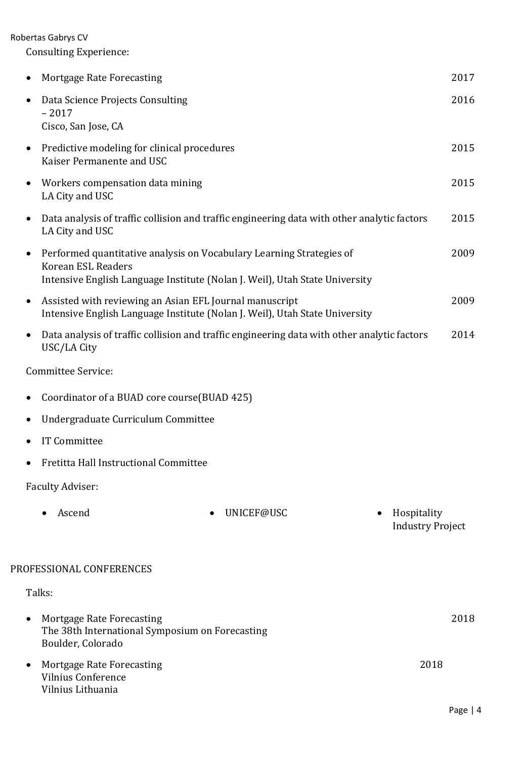Robertas Gabrys CV

Consulting Experience:

|           | Mortgage Rate Forecasting                                                                                                                                                 |                                        | 2017 |
|-----------|---------------------------------------------------------------------------------------------------------------------------------------------------------------------------|----------------------------------------|------|
| ٠         | Data Science Projects Consulting<br>$-2017$                                                                                                                               |                                        | 2016 |
|           | Cisco, San Jose, CA                                                                                                                                                       |                                        |      |
| $\bullet$ | Predictive modeling for clinical procedures<br>Kaiser Permanente and USC                                                                                                  |                                        | 2015 |
| ٠         | Workers compensation data mining<br>LA City and USC                                                                                                                       |                                        | 2015 |
| ٠         | Data analysis of traffic collision and traffic engineering data with other analytic factors<br>LA City and USC                                                            |                                        | 2015 |
| $\bullet$ | Performed quantitative analysis on Vocabulary Learning Strategies of<br>Korean ESL Readers<br>Intensive English Language Institute (Nolan J. Weil), Utah State University |                                        | 2009 |
| $\bullet$ | Assisted with reviewing an Asian EFL Journal manuscript<br>Intensive English Language Institute (Nolan J. Weil), Utah State University                                    |                                        | 2009 |
| ٠         | Data analysis of traffic collision and traffic engineering data with other analytic factors<br>USC/LA City                                                                |                                        | 2014 |
|           | <b>Committee Service:</b>                                                                                                                                                 |                                        |      |
|           | Coordinator of a BUAD core course(BUAD 425)                                                                                                                               |                                        |      |
|           | Undergraduate Curriculum Committee                                                                                                                                        |                                        |      |
|           | <b>IT Committee</b>                                                                                                                                                       |                                        |      |
|           | Fretitta Hall Instructional Committee                                                                                                                                     |                                        |      |
|           | <b>Faculty Adviser:</b>                                                                                                                                                   |                                        |      |
|           | Ascend<br>UNICEF@USC                                                                                                                                                      | Hospitality<br><b>Industry Project</b> |      |
|           | PROFESSIONAL CONFERENCES                                                                                                                                                  |                                        |      |
|           | Talks:                                                                                                                                                                    |                                        |      |
| ٠         | Mortgage Rate Forecasting<br>The 38th International Symposium on Forecasting<br>Boulder, Colorado                                                                         |                                        | 2018 |
| ٠         | Mortgage Rate Forecasting<br><b>Vilnius Conference</b><br>Vilnius Lithuania                                                                                               | 2018                                   |      |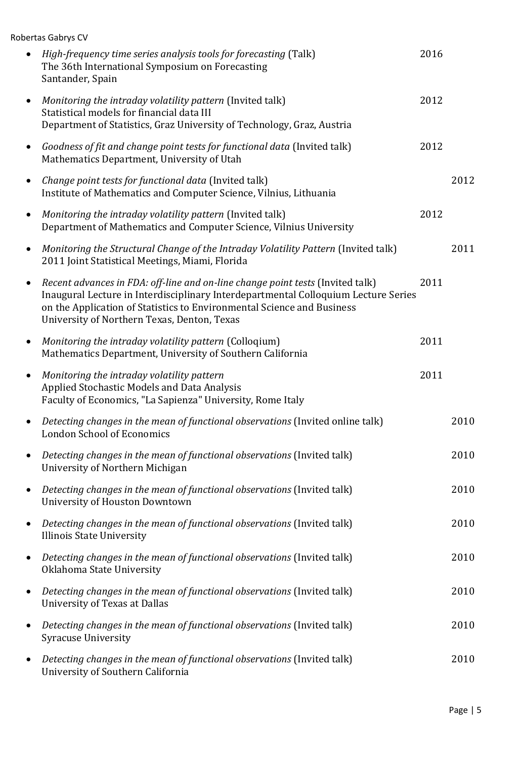|           | Robertas Gabrys CV                                                                                                                                                                                                                                                                            |      |      |
|-----------|-----------------------------------------------------------------------------------------------------------------------------------------------------------------------------------------------------------------------------------------------------------------------------------------------|------|------|
|           | High-frequency time series analysis tools for forecasting (Talk)<br>The 36th International Symposium on Forecasting<br>Santander, Spain                                                                                                                                                       | 2016 |      |
|           | Monitoring the intraday volatility pattern (Invited talk)<br>Statistical models for financial data III<br>Department of Statistics, Graz University of Technology, Graz, Austria                                                                                                              | 2012 |      |
| $\bullet$ | Goodness of fit and change point tests for functional data (Invited talk)<br>Mathematics Department, University of Utah                                                                                                                                                                       | 2012 |      |
| $\bullet$ | Change point tests for functional data (Invited talk)<br>Institute of Mathematics and Computer Science, Vilnius, Lithuania                                                                                                                                                                    |      | 2012 |
| $\bullet$ | Monitoring the intraday volatility pattern (Invited talk)<br>Department of Mathematics and Computer Science, Vilnius University                                                                                                                                                               | 2012 |      |
| $\bullet$ | Monitoring the Structural Change of the Intraday Volatility Pattern (Invited talk)<br>2011 Joint Statistical Meetings, Miami, Florida                                                                                                                                                         |      | 2011 |
| $\bullet$ | Recent advances in FDA: off-line and on-line change point tests (Invited talk)<br>Inaugural Lecture in Interdisciplinary Interdepartmental Colloquium Lecture Series<br>on the Application of Statistics to Environmental Science and Business<br>University of Northern Texas, Denton, Texas | 2011 |      |
|           | Monitoring the intraday volatility pattern (Colloqium)<br>Mathematics Department, University of Southern California                                                                                                                                                                           | 2011 |      |
| $\bullet$ | Monitoring the intraday volatility pattern<br>Applied Stochastic Models and Data Analysis<br>Faculty of Economics, "La Sapienza" University, Rome Italy                                                                                                                                       | 2011 |      |
|           | Detecting changes in the mean of functional observations (Invited online talk)<br><b>London School of Economics</b>                                                                                                                                                                           |      | 2010 |
|           | Detecting changes in the mean of functional observations (Invited talk)<br>University of Northern Michigan                                                                                                                                                                                    |      | 2010 |
| ٠         | Detecting changes in the mean of functional observations (Invited talk)<br>University of Houston Downtown                                                                                                                                                                                     |      | 2010 |
| $\bullet$ | Detecting changes in the mean of functional observations (Invited talk)<br><b>Illinois State University</b>                                                                                                                                                                                   |      | 2010 |
| ٠         | Detecting changes in the mean of functional observations (Invited talk)<br>Oklahoma State University                                                                                                                                                                                          |      | 2010 |
| $\bullet$ | Detecting changes in the mean of functional observations (Invited talk)<br>University of Texas at Dallas                                                                                                                                                                                      |      | 2010 |
|           | Detecting changes in the mean of functional observations (Invited talk)<br><b>Syracuse University</b>                                                                                                                                                                                         |      | 2010 |
| $\bullet$ | Detecting changes in the mean of functional observations (Invited talk)<br>University of Southern California                                                                                                                                                                                  |      | 2010 |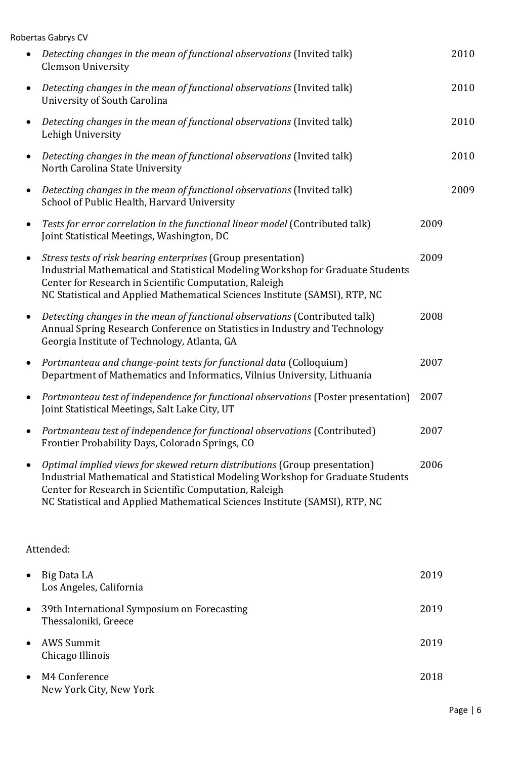| Robertas Gabrys CV                                                                                                                                                                                                                                                                                     |      |      |
|--------------------------------------------------------------------------------------------------------------------------------------------------------------------------------------------------------------------------------------------------------------------------------------------------------|------|------|
| Detecting changes in the mean of functional observations (Invited talk)<br><b>Clemson University</b>                                                                                                                                                                                                   |      | 2010 |
| Detecting changes in the mean of functional observations (Invited talk)<br>$\bullet$<br>University of South Carolina                                                                                                                                                                                   |      | 2010 |
| Detecting changes in the mean of functional observations (Invited talk)<br>Lehigh University                                                                                                                                                                                                           |      | 2010 |
| Detecting changes in the mean of functional observations (Invited talk)<br>$\bullet$<br>North Carolina State University                                                                                                                                                                                |      | 2010 |
| Detecting changes in the mean of functional observations (Invited talk)<br>School of Public Health, Harvard University                                                                                                                                                                                 |      | 2009 |
| Tests for error correlation in the functional linear model (Contributed talk)<br>$\bullet$<br>Joint Statistical Meetings, Washington, DC                                                                                                                                                               | 2009 |      |
| Stress tests of risk bearing enterprises (Group presentation)<br>٠<br>Industrial Mathematical and Statistical Modeling Workshop for Graduate Students<br>Center for Research in Scientific Computation, Raleigh<br>NC Statistical and Applied Mathematical Sciences Institute (SAMSI), RTP, NC         | 2009 |      |
| Detecting changes in the mean of functional observations (Contributed talk)<br>Annual Spring Research Conference on Statistics in Industry and Technology<br>Georgia Institute of Technology, Atlanta, GA                                                                                              | 2008 |      |
| Portmanteau and change-point tests for functional data (Colloquium)<br>$\bullet$<br>Department of Mathematics and Informatics, Vilnius University, Lithuania                                                                                                                                           | 2007 |      |
| Portmanteau test of independence for functional observations (Poster presentation)<br>$\bullet$<br>Joint Statistical Meetings, Salt Lake City, UT                                                                                                                                                      | 2007 |      |
| Portmanteau test of independence for functional observations (Contributed)<br>Frontier Probability Days, Colorado Springs, CO                                                                                                                                                                          | 2007 |      |
| Optimal implied views for skewed return distributions (Group presentation)<br>Industrial Mathematical and Statistical Modeling Workshop for Graduate Students<br>Center for Research in Scientific Computation, Raleigh<br>NC Statistical and Applied Mathematical Sciences Institute (SAMSI), RTP, NC | 2006 |      |
| Attended:                                                                                                                                                                                                                                                                                              |      |      |
| Big Data LA<br>Los Angeles, California                                                                                                                                                                                                                                                                 | 2019 |      |
| 39th International Symposium on Forecasting<br>٠<br>Thessaloniki, Greece                                                                                                                                                                                                                               | 2019 |      |
| <b>AWS Summit</b><br>Chicago Illinois                                                                                                                                                                                                                                                                  | 2019 |      |
|                                                                                                                                                                                                                                                                                                        |      |      |

• M4 Conference 2018 New York City, New York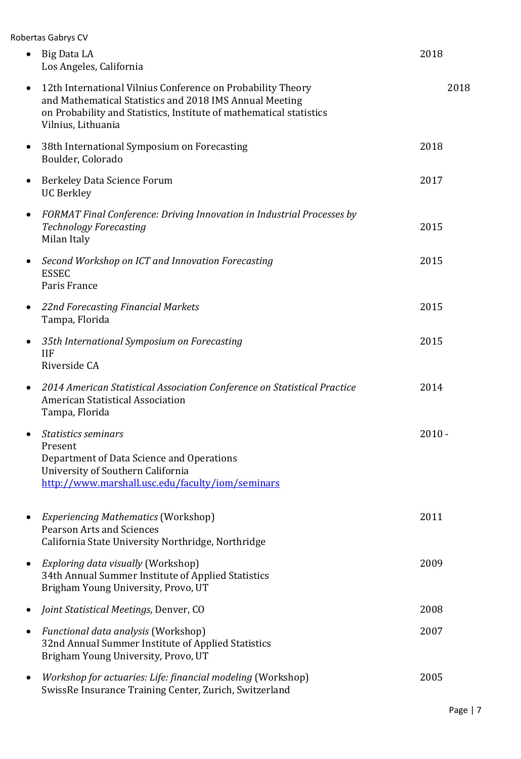| Robertas Gabrys CV                                                                                                                                                                                                               |          |
|----------------------------------------------------------------------------------------------------------------------------------------------------------------------------------------------------------------------------------|----------|
| Big Data LA<br>$\bullet$<br>Los Angeles, California                                                                                                                                                                              | 2018     |
| 12th International Vilnius Conference on Probability Theory<br>$\bullet$<br>and Mathematical Statistics and 2018 IMS Annual Meeting<br>on Probability and Statistics, Institute of mathematical statistics<br>Vilnius, Lithuania | 2018     |
| 38th International Symposium on Forecasting<br>$\bullet$<br>Boulder, Colorado                                                                                                                                                    | 2018     |
| Berkeley Data Science Forum<br><b>UC Berkley</b>                                                                                                                                                                                 | 2017     |
| FORMAT Final Conference: Driving Innovation in Industrial Processes by<br>٠<br><b>Technology Forecasting</b><br>Milan Italy                                                                                                      | 2015     |
| Second Workshop on ICT and Innovation Forecasting<br>$\bullet$<br><b>ESSEC</b><br>Paris France                                                                                                                                   | 2015     |
| 22nd Forecasting Financial Markets<br>$\bullet$<br>Tampa, Florida                                                                                                                                                                | 2015     |
| 35th International Symposium on Forecasting<br>$\bullet$<br><b>IIF</b><br>Riverside CA                                                                                                                                           | 2015     |
| 2014 American Statistical Association Conference on Statistical Practice<br>$\bullet$<br><b>American Statistical Association</b><br>Tampa, Florida                                                                               | 2014     |
| <b>Statistics seminars</b><br>Present<br>Department of Data Science and Operations<br>University of Southern California<br>http://www.marshall.usc.edu/faculty/iom/seminars                                                      | $2010 -$ |
| <b>Experiencing Mathematics (Workshop)</b><br><b>Pearson Arts and Sciences</b><br>California State University Northridge, Northridge                                                                                             | 2011     |
| Exploring data visually (Workshop)<br>34th Annual Summer Institute of Applied Statistics<br>Brigham Young University, Provo, UT                                                                                                  | 2009     |
| Joint Statistical Meetings, Denver, CO                                                                                                                                                                                           | 2008     |
| Functional data analysis (Workshop)<br>32nd Annual Summer Institute of Applied Statistics<br>Brigham Young University, Provo, UT                                                                                                 | 2007     |
| Workshop for actuaries: Life: financial modeling (Workshop)<br>٠<br>SwissRe Insurance Training Center, Zurich, Switzerland                                                                                                       | 2005     |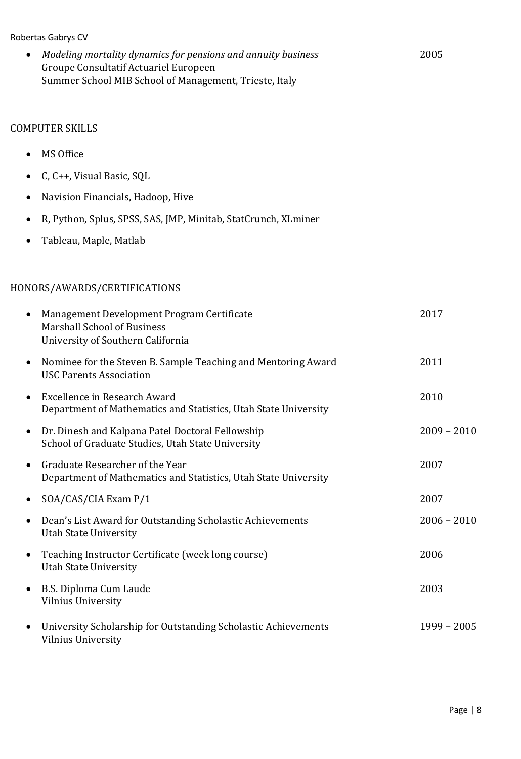#### Robertas Gabrys CV

| Modeling mortality dynamics for pensions and annuity business | 2005 |
|---------------------------------------------------------------|------|
| Groupe Consultatif Actuariel Europeen                         |      |
| Summer School MIB School of Management, Trieste, Italy        |      |

### COMPUTER SKILLS

- MS Office
- C, C++, Visual Basic, SQL
- Navision Financials, Hadoop, Hive
- R, Python, Splus, SPSS, SAS, JMP, Minitab, StatCrunch, XLminer
- Tableau, Maple, Matlab

# HONORS/AWARDS/CERTIFICATIONS

| $\bullet$ | Management Development Program Certificate<br><b>Marshall School of Business</b><br>University of Southern California | 2017          |
|-----------|-----------------------------------------------------------------------------------------------------------------------|---------------|
| $\bullet$ | Nominee for the Steven B. Sample Teaching and Mentoring Award<br><b>USC Parents Association</b>                       | 2011          |
| $\bullet$ | Excellence in Research Award<br>Department of Mathematics and Statistics, Utah State University                       | 2010          |
| $\bullet$ | Dr. Dinesh and Kalpana Patel Doctoral Fellowship<br>School of Graduate Studies, Utah State University                 | $2009 - 2010$ |
| $\bullet$ | Graduate Researcher of the Year<br>Department of Mathematics and Statistics, Utah State University                    | 2007          |
| $\bullet$ | SOA/CAS/CIA Exam P/1                                                                                                  | 2007          |
| $\bullet$ | Dean's List Award for Outstanding Scholastic Achievements<br><b>Utah State University</b>                             | $2006 - 2010$ |
| $\bullet$ | Teaching Instructor Certificate (week long course)<br><b>Utah State University</b>                                    | 2006          |
| $\bullet$ | B.S. Diploma Cum Laude<br><b>Vilnius University</b>                                                                   | 2003          |
| $\bullet$ | University Scholarship for Outstanding Scholastic Achievements<br><b>Vilnius University</b>                           | $1999 - 2005$ |
|           |                                                                                                                       |               |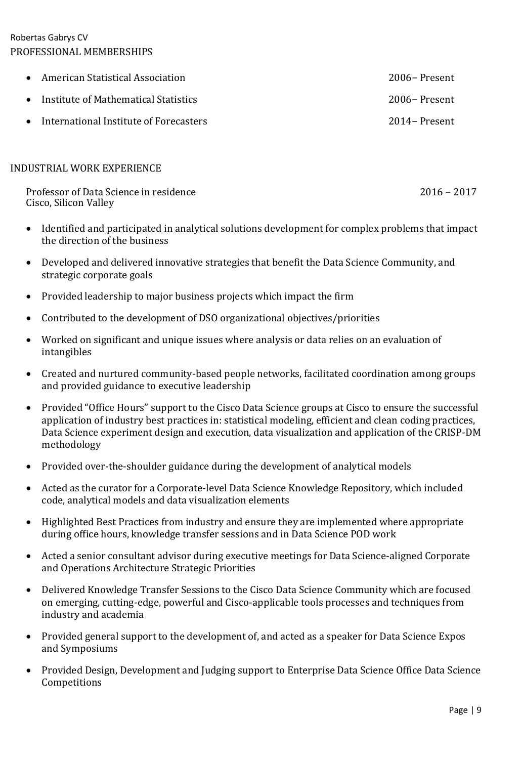Robertas Gabrys CV PROFESSIONAL MEMBERSHIPS

| • American Statistical Association       | 2006– Present |
|------------------------------------------|---------------|
| • Institute of Mathematical Statistics   | 2006– Present |
| • International Institute of Forecasters | 2014– Present |

## INDUSTRIAL WORK EXPERIENCE

| Professor of Data Science in residence | $2016 - 2017$ |  |
|----------------------------------------|---------------|--|
| Cisco, Silicon Valley                  |               |  |

- Identified and participated in analytical solutions development for complex problems that impact the direction of the business
- Developed and delivered innovative strategies that benefit the Data Science Community, and strategic corporate goals
- Provided leadership to major business projects which impact the firm
- Contributed to the development of DSO organizational objectives/priorities
- Worked on significant and unique issues where analysis or data relies on an evaluation of intangibles
- Created and nurtured community-based people networks, facilitated coordination among groups and provided guidance to executive leadership
- Provided "Office Hours" support to the Cisco Data Science groups at Cisco to ensure the successful application of industry best practices in: statistical modeling, efficient and clean coding practices, Data Science experiment design and execution, data visualization and application of the CRISP-DM methodology
- Provided over-the-shoulder guidance during the development of analytical models
- Acted as the curator for a Corporate-level Data Science Knowledge Repository, which included code, analytical models and data visualization elements
- Highlighted Best Practices from industry and ensure they are implemented where appropriate during office hours, knowledge transfer sessions and in Data Science POD work
- Acted a senior consultant advisor during executive meetings for Data Science-aligned Corporate and Operations Architecture Strategic Priorities
- Delivered Knowledge Transfer Sessions to the Cisco Data Science Community which are focused on emerging, cutting-edge, powerful and Cisco-applicable tools processes and techniques from industry and academia
- Provided general support to the development of, and acted as a speaker for Data Science Expos and Symposiums
- Provided Design, Development and Judging support to Enterprise Data Science Office Data Science Competitions